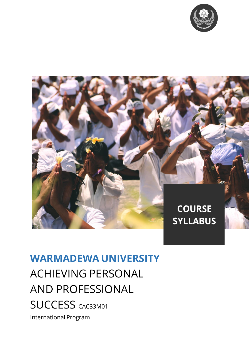



# **WARMADEWA UNIVERSITY** ACHIEVING PERSONAL AND PROFESSIONAL **SUCCESS CAC33M01** International Program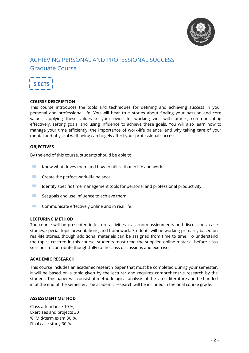

# ACHIEVING PERSONAL AND PROFESSIONAL SUCCESS Graduate Course



#### **COURSE DESCRIPTION**

This course introduces the tools and techniques for defining and achieving success in your personal and professional life. You will hear true stories about finding your passion and core values, applying these values to your own life, working well with others, communicating effectively, setting goals, and using influence to achieve these goals. You will also learn how to manage your time efficiently, the importance of work-life balance, and why taking care of your mental and physical well-being can hugely affect your professional success.

#### **OBJECTIVES**

By the end of this course, students should be able to:

- **EXECUTE:** Know what drives them and how to utilize that in life and work.
- $\blacksquare$  Create the perfect work-life balance.<br> $\blacksquare$  Identify specific time management to
- $\blacksquare$  Identify specific time management tools for personal and professional productivity.<br> $\blacksquare$  Set goals and use influence to achieve them
- Set goals and use influence to achieve them.
- $\blacksquare$  Communicate effectively online and in real life.

#### **LECTURING METHOD**

The course will be presented in lecture activities, classroom assignments and discussions, case studies, special topic presentations, and homework. Students will be working primarily based on real-life stories, though additional materials can be assigned from time to time. To understand the topics covered in this course, students must read the supplied online material before class sessions to contribute thoughtfully to the class discussions and exercises.

#### **ACADEMIC RESEARCH**

This course includes an academic research paper that must be completed during your semester. It will be based on a topic given by the lecturer and requires comprehensive research by the student. This paper will consist of methodological analysis of the latest literature and be handed in at the end of the semester. The academic research will be included in the final course grade.

#### **ASSESSMENT METHOD**

Class attendance 10 %, Exercises and projects 30 %, Mid-term exam 30 %, Final case study 30 %